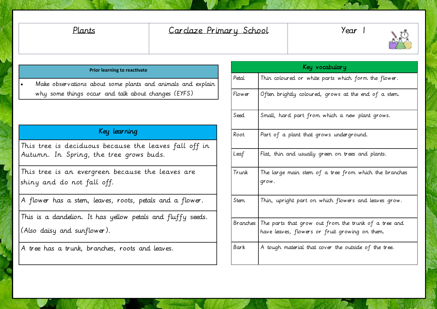## Plants Carclaze Primary School | Year 1



## **Prior learning to reactivate**

 Make observations about some plants and animals and explain why some things occur and talk about changes (EYFS)

## Key learning

This tree is deciduous because the leaves fall off in Autumn. In Spring, the tree grows buds.

This tree is an evergreen because the leaves are shiny and do not fall off.

A flower has a stem, leaves, roots, petals and a flower.

This is a dandelion. It has yellow petals and fluffy seeds. (Also daisy and sunflower).

A tree has a trunk, branches, roots and leaves.

| Key vocabulary |                                                                                                                 |  |  |  |
|----------------|-----------------------------------------------------------------------------------------------------------------|--|--|--|
| Petal          | Thin coloured or white parts which form the flower.                                                             |  |  |  |
| Flower         | Often brightly coloured, grows at the end of a stem.                                                            |  |  |  |
| Seed           | Small, hard part from which a new plant grows.                                                                  |  |  |  |
| Root           | Part of a plant that grows underground.                                                                         |  |  |  |
| Leaf           | Flat, thin and usually green on trees and plants.                                                               |  |  |  |
| Trunk          | The large main stem of a tree from which the branches<br>grow.                                                  |  |  |  |
| Stem           | Thin, upright part on which flowers and leaves grow.                                                            |  |  |  |
|                | Branches The parts that grow out from the trunk of a tree and<br>have leaves, flowers or fruit growing on them. |  |  |  |
| Bark           | A tough material that cover the outside of the tree.                                                            |  |  |  |